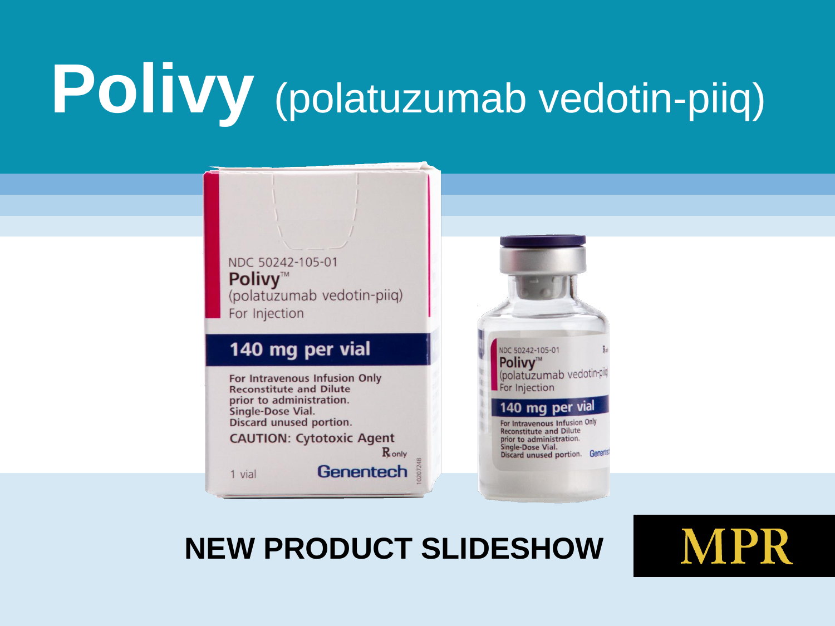# **Polivy** (polatuzumab vedotin-piiq)

NDC 50242-105-01 Polivy™ (polatuzumab vedotin-piiq) For Injection 140 mg per vial NDC 50242-105-01 **Polivy™** (polatuzumab vedotin-For Intravenous Infusion Only For Injection **Reconstitute and Dilute** prior to administration. 140 mg per vial Single-Dose Vial. Discard unused portion. For Intravenous Infusion Only **Reconstitute and Dilute CAUTION: Cytotoxic Agent** prior to administration. Single-Dose Vial. Ronly Discard unused portion. Generia Genentech 1 vial

#### **NEW PRODUCT SLIDESHOW**

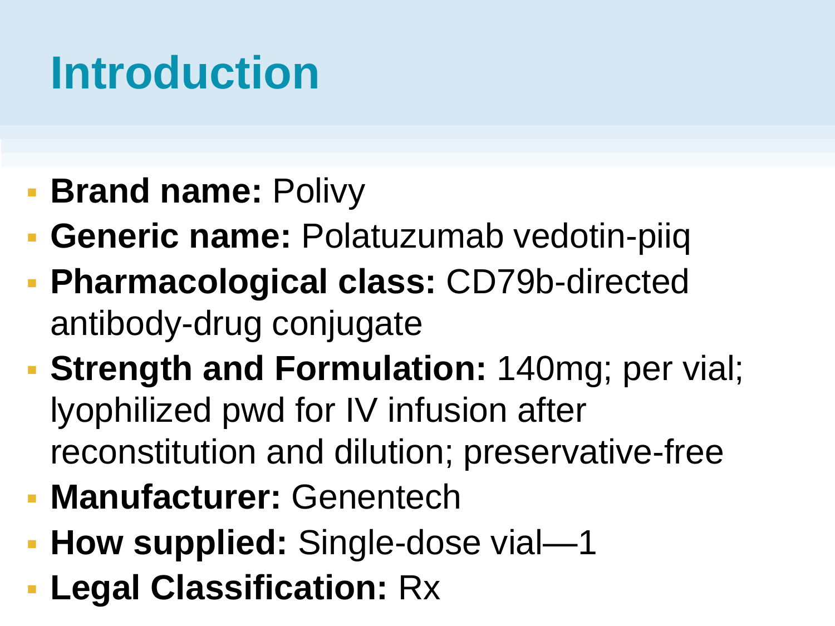#### **Introduction**

- **Brand name: Polivy**
- **Generic name: Polatuzumab vedotin-piiq**
- **Pharmacological class:** CD79b-directed antibody-drug conjugate
- **Strength and Formulation:** 140mg; per vial; lyophilized pwd for IV infusion after reconstitution and dilution; preservative-free
- **Manufacturer:** Genentech
- **How supplied:** Single-dose vial—1
- **Legal Classification:** Rx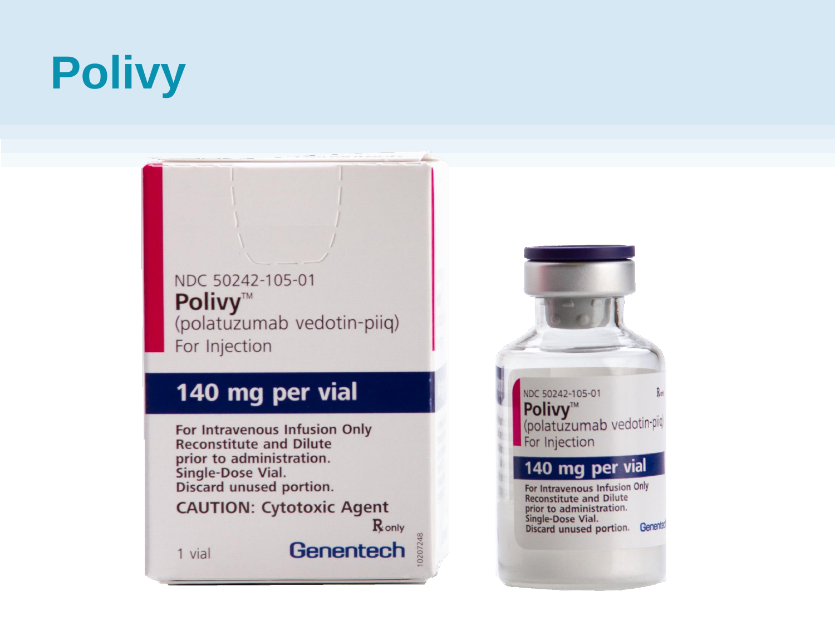## **Polivy**

NDC 50242-105-01 **Polivy™** (polatuzumab vedotin-piiq) For Injection

#### 140 mg per vial

For Intravenous Infusion Only **Reconstitute and Dilute** prior to administration. Single-Dose Vial. Discard unused portion.

**CAUTION: Cytotoxic Agent** 

Ronly

Genentech

1 vial

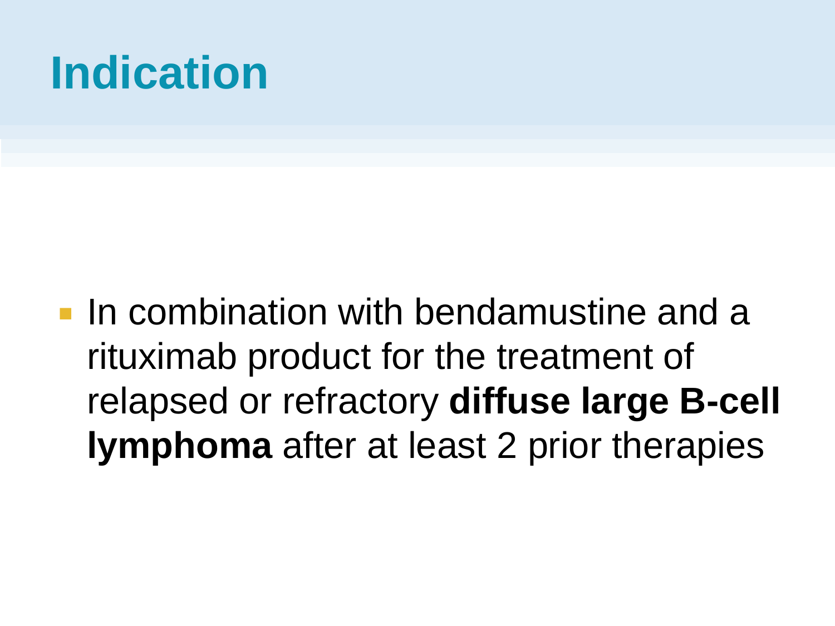#### **Indication**

**In combination with bendamustine and a** rituximab product for the treatment of relapsed or refractory **diffuse large B-cell lymphoma** after at least 2 prior therapies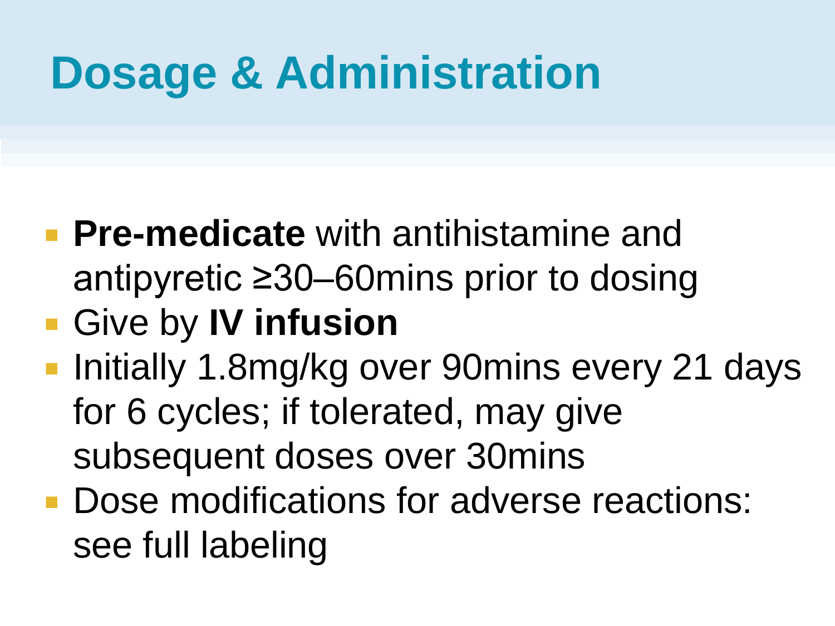#### **Dosage & Administration**

- **Pre-medicate** with antihistamine and antipyretic ≥30–60mins prior to dosing
- Give by **IV infusion**
- Initially 1.8mg/kg over 90mins every 21 days for 6 cycles; if tolerated, may give subsequent doses over 30mins
- **Dose modifications for adverse reactions:** see full labeling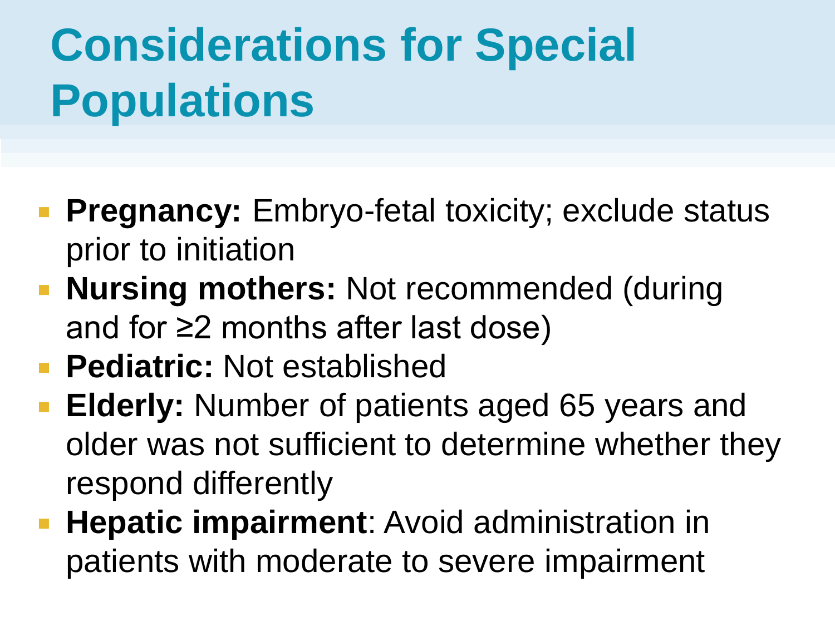### **Considerations for Special Populations**

- **Pregnancy:** Embryo-fetal toxicity; exclude status prior to initiation
- **Nursing mothers:** Not recommended (during and for ≥2 months after last dose)
- **Pediatric:** Not established
- **Elderly:** Number of patients aged 65 years and older was not sufficient to determine whether they respond differently
- **Hepatic impairment:** Avoid administration in patients with moderate to severe impairment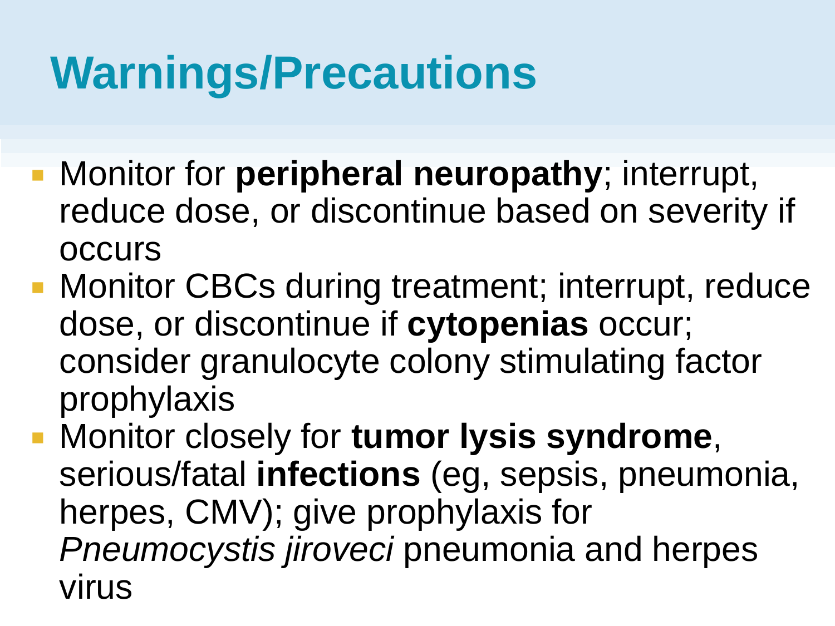#### **Warnings/Precautions**

- **Monitor for peripheral neuropathy**; interrupt, reduce dose, or discontinue based on severity if **OCCUIS**
- **Monitor CBCs during treatment; interrupt, reduce** dose, or discontinue if **cytopenias** occur; consider granulocyte colony stimulating factor prophylaxis
- Monitor closely for **tumor lysis syndrome**, serious/fatal **infections** (eg, sepsis, pneumonia, herpes, CMV); give prophylaxis for *Pneumocystis jiroveci* pneumonia and herpes virus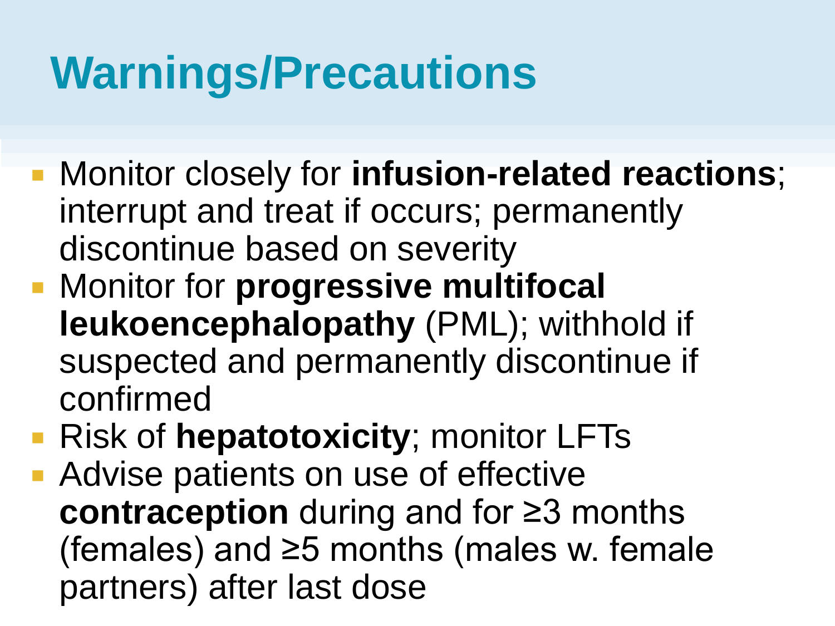#### **Warnings/Precautions**

- Monitor closely for **infusion-related reactions**; interrupt and treat if occurs; permanently discontinue based on severity
- **EXPLEX INDITION In A Monitor for progressive multifocal leukoencephalopathy** (PML); withhold if suspected and permanently discontinue if confirmed
- Risk of **hepatotoxicity**; monitor LFTs
- **Advise patients on use of effective contraception** during and for ≥3 months (females) and ≥5 months (males w. female partners) after last dose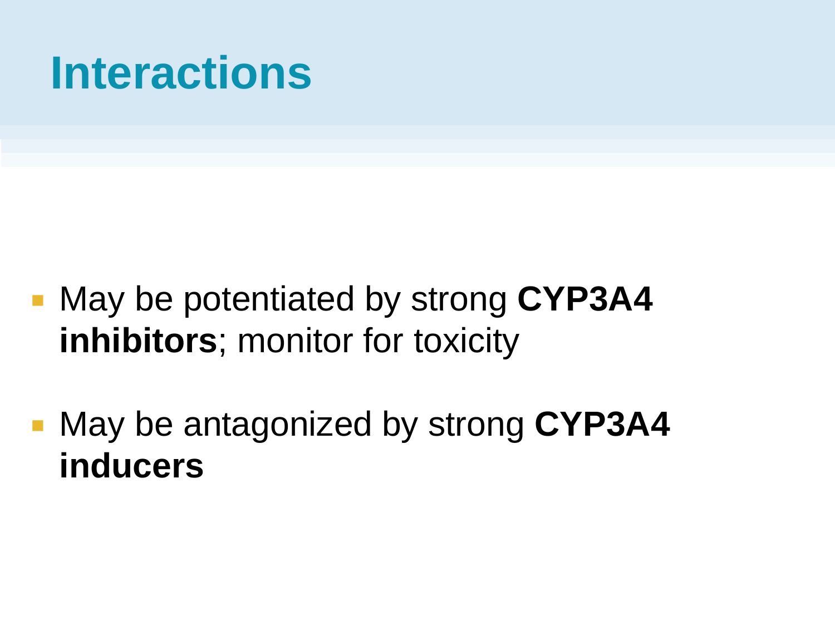#### **Interactions**

- May be potentiated by strong **CYP3A4 inhibitors**; monitor for toxicity
- May be antagonized by strong **CYP3A4 inducers**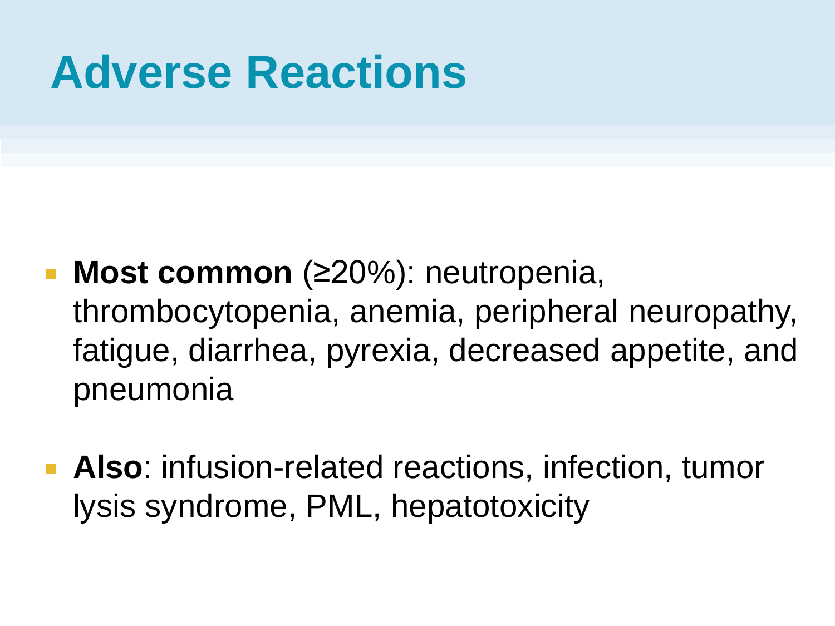#### **Adverse Reactions**

- **Most common** (≥20%): neutropenia, thrombocytopenia, anemia, peripheral neuropathy, fatigue, diarrhea, pyrexia, decreased appetite, and pneumonia
- **Also**: infusion-related reactions, infection, tumor lysis syndrome, PML, hepatotoxicity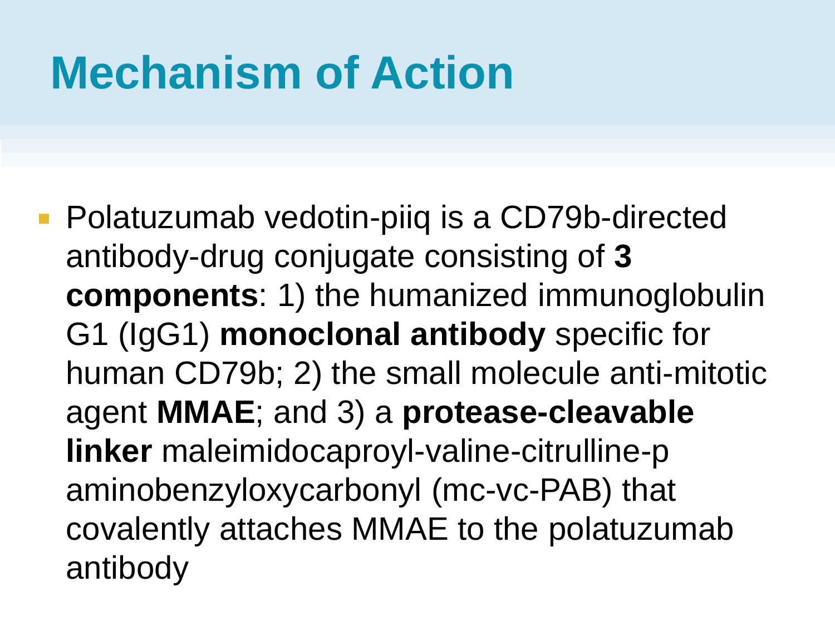#### **Mechanism of Action**

■ Polatuzumab vedotin-piiq is a CD79b-directed antibody-drug conjugate consisting of **3 components**: 1) the humanized immunoglobulin G1 (IgG1) **monoclonal antibody** specific for human CD79b; 2) the small molecule anti-mitotic agent **MMAE**; and 3) a **protease-cleavable linker** maleimidocaproyl-valine-citrulline-p aminobenzyloxycarbonyl (mc-vc-PAB) that covalently attaches MMAE to the polatuzumab antibody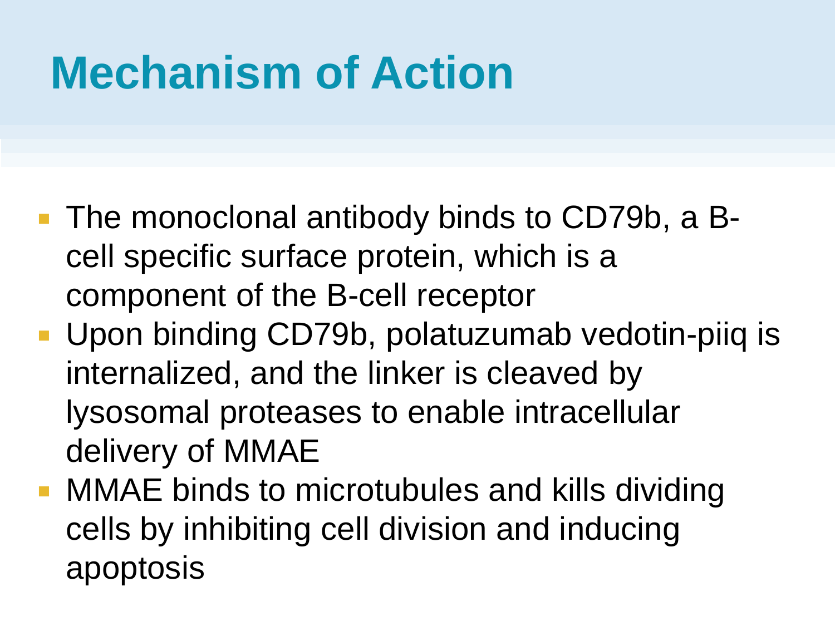#### **Mechanism of Action**

- The monoclonal antibody binds to CD79b, a Bcell specific surface protein, which is a component of the B-cell receptor
- **Upon binding CD79b, polatuzumab vedotin-piiq is** internalized, and the linker is cleaved by lysosomal proteases to enable intracellular delivery of MMAE
- **MMAE binds to microtubules and kills dividing** cells by inhibiting cell division and inducing apoptosis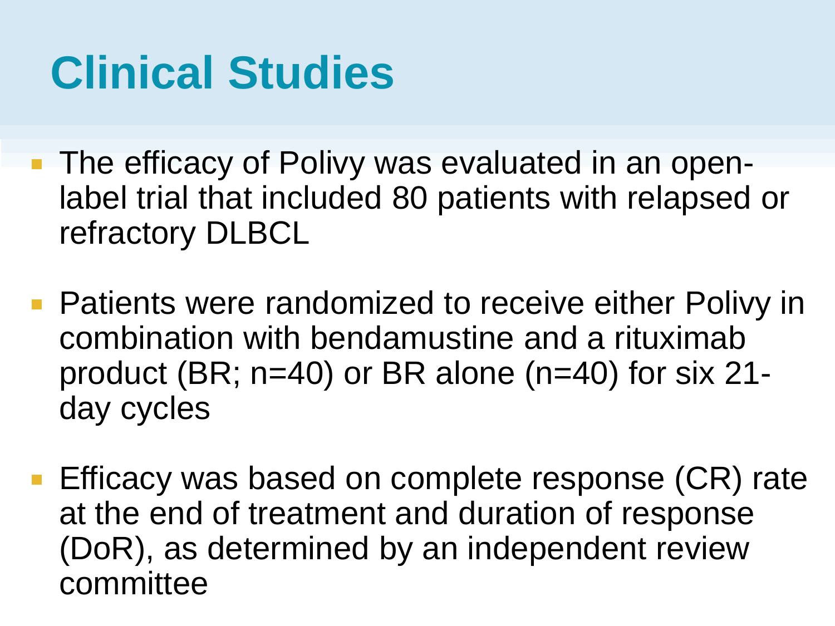#### **Clinical Studies**

- The efficacy of Polivy was evaluated in an openlabel trial that included 80 patients with relapsed or refractory DLBCL
- **Patients were randomized to receive either Polivy in** combination with bendamustine and a rituximab product (BR; n=40) or BR alone (n=40) for six 21 day cycles
- **Efficacy was based on complete response (CR) rate** at the end of treatment and duration of response (DoR), as determined by an independent review committee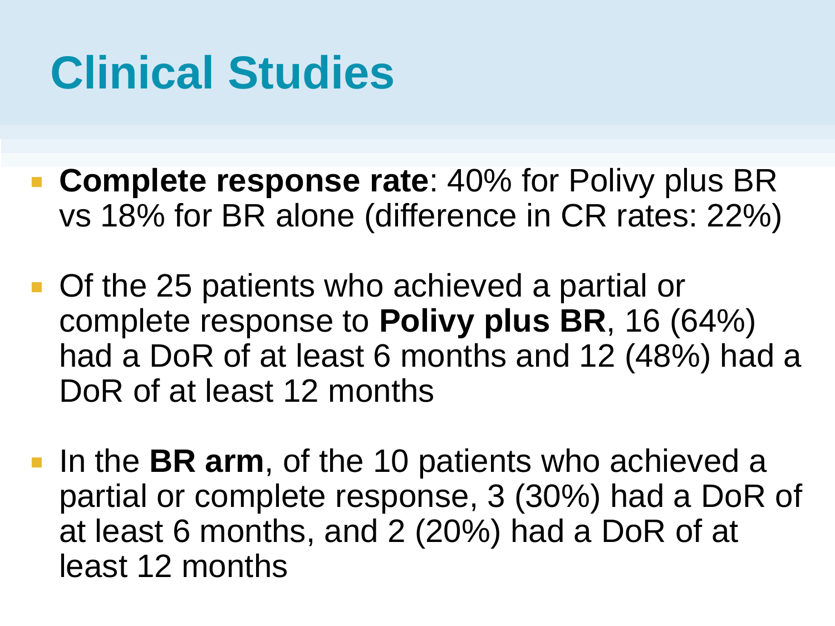#### **Clinical Studies**

- **Complete response rate:** 40% for Polivy plus BR vs 18% for BR alone (difference in CR rates: 22%)
- **Of the 25 patients who achieved a partial or** complete response to **Polivy plus BR**, 16 (64%) had a DoR of at least 6 months and 12 (48%) had a DoR of at least 12 months
- **IF In the BR arm, of the 10 patients who achieved a** partial or complete response, 3 (30%) had a DoR of at least 6 months, and 2 (20%) had a DoR of at least 12 months